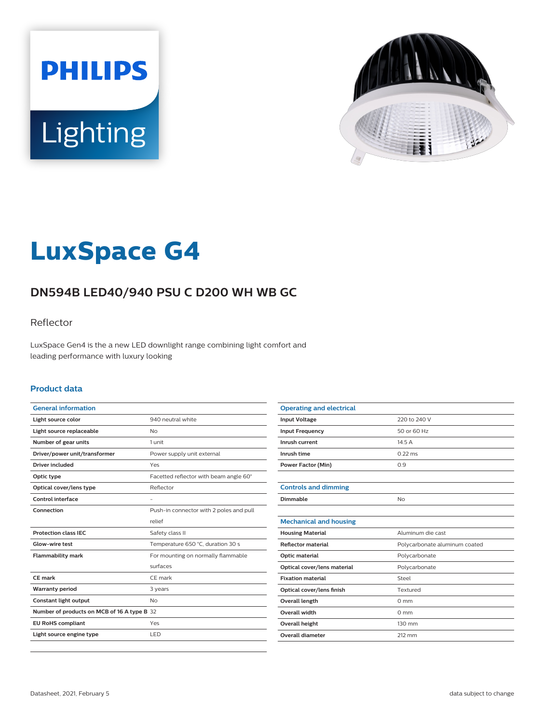



# **LuxSpace G4**

# **DN594B LED40/940 PSU C D200 WH WB GC**

### Reflector

LuxSpace Gen4 is the a new LED downlight range combining light comfort and leading performance with luxury looking

#### **Product data**

| <b>General information</b>                  |                                         |
|---------------------------------------------|-----------------------------------------|
| Light source color                          | 940 neutral white                       |
| Light source replaceable                    | <b>No</b>                               |
| Number of gear units                        | 1 unit                                  |
| Driver/power unit/transformer               | Power supply unit external              |
| Driver included                             | Yes                                     |
| Optic type                                  | Facetted reflector with beam angle 60°  |
| Optical cover/lens type                     | Reflector                               |
| Control interface                           |                                         |
| Connection                                  | Push-in connector with 2 poles and pull |
|                                             | relief                                  |
| <b>Protection class IEC</b>                 | Safety class II                         |
| Glow-wire test                              | Temperature 650 °C, duration 30 s       |
| <b>Flammability mark</b>                    | For mounting on normally flammable      |
|                                             | surfaces                                |
| <b>CE</b> mark                              | CE mark                                 |
| <b>Warranty period</b>                      | 3 years                                 |
| Constant light output                       | <b>No</b>                               |
| Number of products on MCB of 16 A type B 32 |                                         |
| <b>EU RoHS compliant</b>                    | Yes                                     |
| Light source engine type                    | LED                                     |
|                                             |                                         |

| <b>Operating and electrical</b> |                               |
|---------------------------------|-------------------------------|
| <b>Input Voltage</b>            | 220 to 240 V                  |
| <b>Input Frequency</b>          | 50 or 60 Hz                   |
| Inrush current                  | 14.5 A                        |
| Inrush time                     | $0.22$ ms                     |
| <b>Power Factor (Min)</b>       | 0.9                           |
|                                 |                               |
| <b>Controls and dimming</b>     |                               |
| Dimmable                        | No                            |
|                                 |                               |
| <b>Mechanical and housing</b>   |                               |
| <b>Housing Material</b>         | Aluminum die cast             |
| <b>Reflector material</b>       | Polycarbonate aluminum coated |
| Optic material                  | Polycarbonate                 |
| Optical cover/lens material     | Polycarbonate                 |
| <b>Fixation material</b>        | Steel                         |
| Optical cover/lens finish       | Textured                      |
| <b>Overall length</b>           | $0 \text{ mm}$                |
| <b>Overall width</b>            | $0 \text{ mm}$                |
| Overall height                  | 130 mm                        |
| Overall diameter                | 212 mm                        |
|                                 |                               |